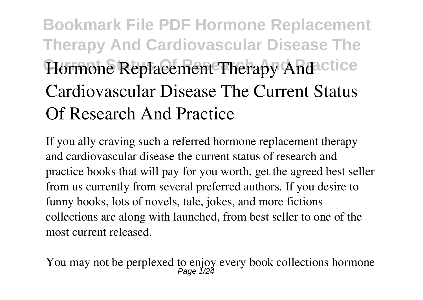# **Bookmark File PDF Hormone Replacement Therapy And Cardiovascular Disease The Hormone Replacement Therapy And ctice Cardiovascular Disease The Current Status Of Research And Practice**

If you ally craving such a referred **hormone replacement therapy and cardiovascular disease the current status of research and practice** books that will pay for you worth, get the agreed best seller from us currently from several preferred authors. If you desire to funny books, lots of novels, tale, jokes, and more fictions collections are along with launched, from best seller to one of the most current released.

You may not be perplexed to enjoy every book collections hormone<br>Page 1/24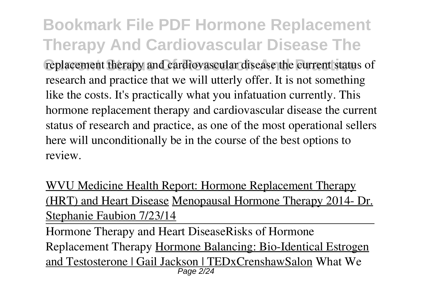**Bookmark File PDF Hormone Replacement Therapy And Cardiovascular Disease The Current Research And Practice** research Andrease replacement status of research and practice that we will utterly offer. It is not something like the costs. It's practically what you infatuation currently. This hormone replacement therapy and cardiovascular disease the current status of research and practice, as one of the most operational sellers here will unconditionally be in the course of the best options to review.

WVU Medicine Health Report: Hormone Replacement Therapy (HRT) and Heart Disease Menopausal Hormone Therapy 2014- Dr. Stephanie Faubion 7/23/14

Hormone Therapy and Heart Disease**Risks of Hormone Replacement Therapy** Hormone Balancing: Bio-Identical Estrogen and Testosterone | Gail Jackson | TEDxCrenshawSalon What We Page 2/24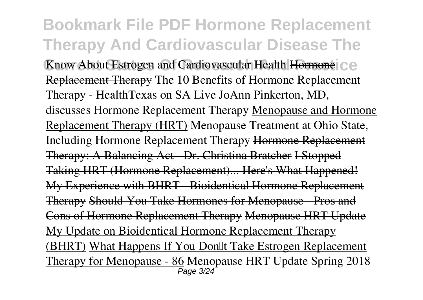**Bookmark File PDF Hormone Replacement Therapy And Cardiovascular Disease The** Know About Estrogen and Cardiovascular Health Hormone<sup>1</sup> C.C. Replacement Therapy The 10 Benefits of Hormone Replacement Therapy - HealthTexas on SA Live JoAnn Pinkerton, MD, discusses Hormone Replacement Therapy Menopause and Hormone Replacement Therapy (HRT) *Menopause Treatment at Ohio State, Including Hormone Replacement Therapy* Hormone Replacement Therapy: A Balancing Act - Dr. Christina Bratcher I Stopped Taking HRT (Hormone Replacement)... Here's What Happened! My Experience with BHRT - Bioidentical Hormone Replacement Therapy Should You Take Hormones for Menopause - Pros and Cons of Hormone Replacement Therapy Menopause HRT Update My Update on Bioidentical Hormone Replacement Therapy (BHRT) What Happens If You Don<sup>[1]</sup> Take Estrogen Replacement Therapy for Menopause - 86 *Menopause HRT Update Spring 2018* Page 3/24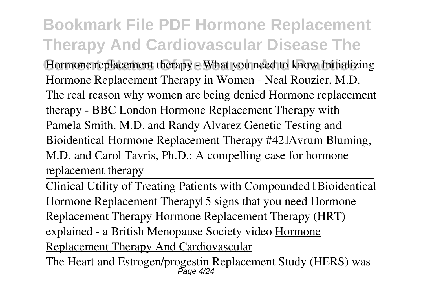**Bookmark File PDF Hormone Replacement Therapy And Cardiovascular Disease The Current Status Of Research And Practice** *Hormone replacement therapy - What you need to know Initializing Hormone Replacement Therapy in Women - Neal Rouzier, M.D. The real reason why women are being denied Hormone replacement therapy - BBC London* **Hormone Replacement Therapy with Pamela Smith, M.D. and Randy Alvarez Genetic Testing and** Bioidentical Hormone Replacement Therapy #42<sup>0</sup>Avrum Bluming, M.D. and Carol Tavris, Ph.D.: A compelling case for hormone replacement therapy

Clinical Utility of Treating Patients with Compounded "Bioidentical Hormone Replacement Therapy<sup>[1]</sup> signs that you need Hormone **Replacement Therapy Hormone Replacement Therapy (HRT) explained - a British Menopause Society video** Hormone Replacement Therapy And Cardiovascular

The Heart and Estrogen/progestin Replacement Study (HERS) was Page 4/24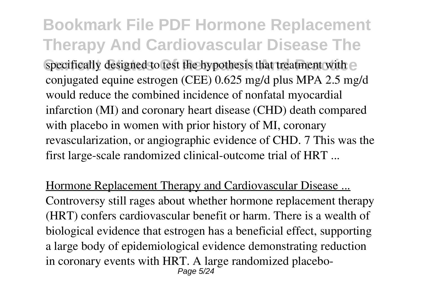**Bookmark File PDF Hormone Replacement Therapy And Cardiovascular Disease The** specifically designed to test the hypothesis that treatment with e conjugated equine estrogen (CEE) 0.625 mg/d plus MPA 2.5 mg/d would reduce the combined incidence of nonfatal myocardial infarction (MI) and coronary heart disease (CHD) death compared with placebo in women with prior history of MI, coronary revascularization, or angiographic evidence of CHD. 7 This was the first large-scale randomized clinical-outcome trial of HRT ...

Hormone Replacement Therapy and Cardiovascular Disease ... Controversy still rages about whether hormone replacement therapy (HRT) confers cardiovascular benefit or harm. There is a wealth of biological evidence that estrogen has a beneficial effect, supporting a large body of epidemiological evidence demonstrating reduction in coronary events with HRT. A large randomized placebo-Page 5/24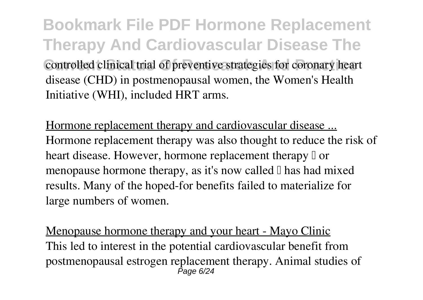**Bookmark File PDF Hormone Replacement Therapy And Cardiovascular Disease The Controlled clinical trial of preventive strategies for coronary heart** disease (CHD) in postmenopausal women, the Women's Health Initiative (WHI), included HRT arms.

Hormone replacement therapy and cardiovascular disease ... Hormone replacement therapy was also thought to reduce the risk of heart disease. However, hormone replacement therapy  $\mathbb I$  or menopause hormone therapy, as it's now called  $\mathbb I$  has had mixed results. Many of the hoped-for benefits failed to materialize for large numbers of women.

Menopause hormone therapy and your heart - Mayo Clinic This led to interest in the potential cardiovascular benefit from postmenopausal estrogen replacement therapy. Animal studies of Page 6/24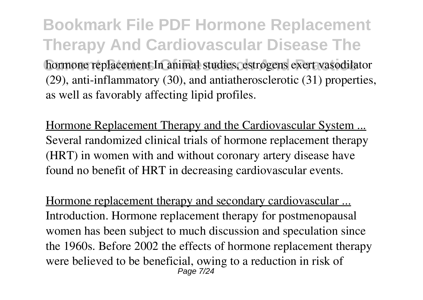**Bookmark File PDF Hormone Replacement Therapy And Cardiovascular Disease The hormone replacement In animal studies, estrogens exert vasodilator** (29), anti-inflammatory (30), and antiatherosclerotic (31) properties, as well as favorably affecting lipid profiles.

Hormone Replacement Therapy and the Cardiovascular System ... Several randomized clinical trials of hormone replacement therapy (HRT) in women with and without coronary artery disease have found no benefit of HRT in decreasing cardiovascular events.

Hormone replacement therapy and secondary cardiovascular ... Introduction. Hormone replacement therapy for postmenopausal women has been subject to much discussion and speculation since the 1960s. Before 2002 the effects of hormone replacement therapy were believed to be beneficial, owing to a reduction in risk of Page 7/24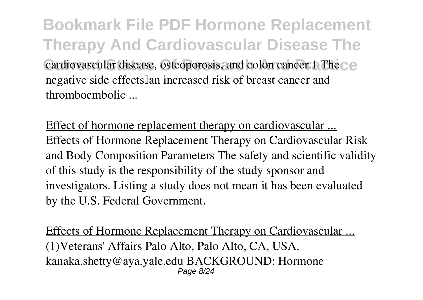**Bookmark File PDF Hormone Replacement Therapy And Cardiovascular Disease The Cardiovascular disease, osteoporosis, and colon cancer.1 The**  $\subset \mathbb{R}$ negative side effects an increased risk of breast cancer and thromboembolic ...

Effect of hormone replacement therapy on cardiovascular ... Effects of Hormone Replacement Therapy on Cardiovascular Risk and Body Composition Parameters The safety and scientific validity of this study is the responsibility of the study sponsor and investigators. Listing a study does not mean it has been evaluated by the U.S. Federal Government.

Effects of Hormone Replacement Therapy on Cardiovascular ... (1)Veterans' Affairs Palo Alto, Palo Alto, CA, USA. kanaka.shetty@aya.yale.edu BACKGROUND: Hormone Page 8/24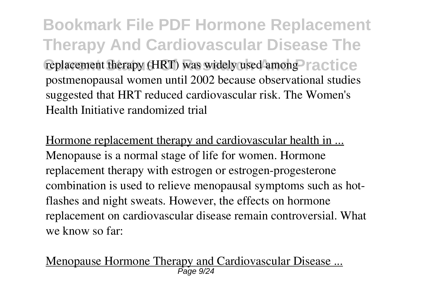**Bookmark File PDF Hormone Replacement Therapy And Cardiovascular Disease The** replacement therapy (HRT) was widely used among **Practice** postmenopausal women until 2002 because observational studies suggested that HRT reduced cardiovascular risk. The Women's Health Initiative randomized trial

Hormone replacement therapy and cardiovascular health in ... Menopause is a normal stage of life for women. Hormone replacement therapy with estrogen or estrogen-progesterone combination is used to relieve menopausal symptoms such as hotflashes and night sweats. However, the effects on hormone replacement on cardiovascular disease remain controversial. What we know so far:

Menopause Hormone Therapy and Cardiovascular Disease ... Page 9/24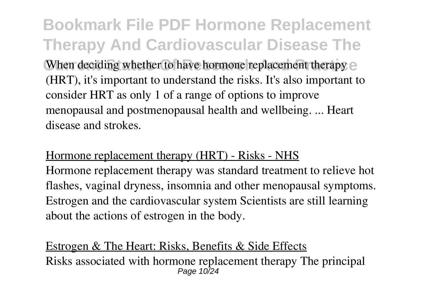**Bookmark File PDF Hormone Replacement Therapy And Cardiovascular Disease The** When deciding whether to have hormone replacement therapy e (HRT), it's important to understand the risks. It's also important to consider HRT as only 1 of a range of options to improve menopausal and postmenopausal health and wellbeing. ... Heart disease and strokes.

#### Hormone replacement therapy (HRT) - Risks - NHS

Hormone replacement therapy was standard treatment to relieve hot flashes, vaginal dryness, insomnia and other menopausal symptoms. Estrogen and the cardiovascular system Scientists are still learning about the actions of estrogen in the body.

#### Estrogen & The Heart: Risks, Benefits & Side Effects Risks associated with hormone replacement therapy The principal Page 10<sub>74</sub>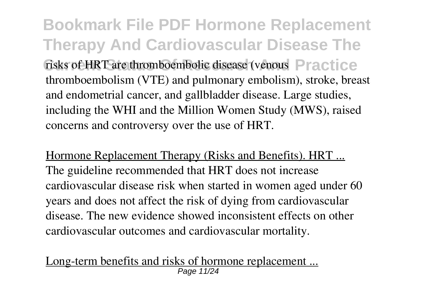**Bookmark File PDF Hormone Replacement Therapy And Cardiovascular Disease The Current Status Of HRT are thromboembolic disease (venous Practice** thromboembolism (VTE) and pulmonary embolism), stroke, breast and endometrial cancer, and gallbladder disease. Large studies, including the WHI and the Million Women Study (MWS), raised concerns and controversy over the use of HRT.

Hormone Replacement Therapy (Risks and Benefits). HRT ... The guideline recommended that HRT does not increase cardiovascular disease risk when started in women aged under 60 years and does not affect the risk of dying from cardiovascular disease. The new evidence showed inconsistent effects on other cardiovascular outcomes and cardiovascular mortality.

Long-term benefits and risks of hormone replacement ... Page 11/24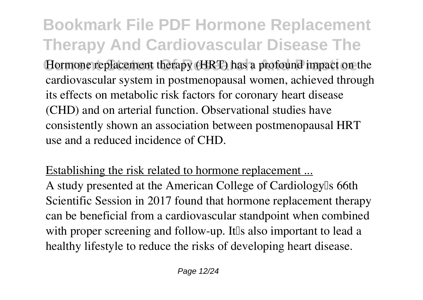**Bookmark File PDF Hormone Replacement Therapy And Cardiovascular Disease The** Hormone replacement therapy (HRT) has a profound impact on the cardiovascular system in postmenopausal women, achieved through its effects on metabolic risk factors for coronary heart disease (CHD) and on arterial function. Observational studies have consistently shown an association between postmenopausal HRT use and a reduced incidence of CHD.

#### Establishing the risk related to hormone replacement ...

A study presented at the American College of Cardiology's 66th Scientific Session in 2017 found that hormone replacement therapy can be beneficial from a cardiovascular standpoint when combined with proper screening and follow-up. It the also important to lead a healthy lifestyle to reduce the risks of developing heart disease.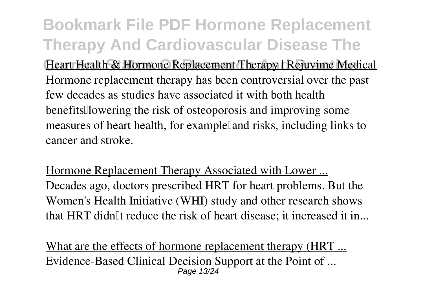**Bookmark File PDF Hormone Replacement Therapy And Cardiovascular Disease The Heart Health & Hormone Replacement Therapy | Rejuvime Medical** Hormone replacement therapy has been controversial over the past few decades as studies have associated it with both health benefits <u>lowering</u> the risk of osteoporosis and improving some measures of heart health, for example and risks, including links to cancer and stroke.

Hormone Replacement Therapy Associated with Lower ... Decades ago, doctors prescribed HRT for heart problems. But the Women's Health Initiative (WHI) study and other research shows that HRT didn't reduce the risk of heart disease; it increased it in...

What are the effects of hormone replacement therapy (HRT ... Evidence-Based Clinical Decision Support at the Point of ... Page 13/24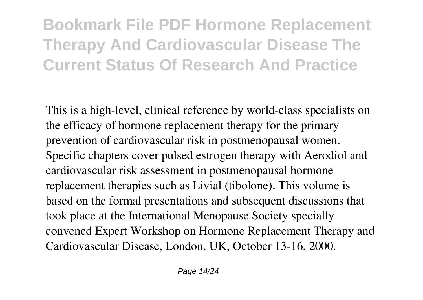## **Bookmark File PDF Hormone Replacement Therapy And Cardiovascular Disease The Current Status Of Research And Practice**

This is a high-level, clinical reference by world-class specialists on the efficacy of hormone replacement therapy for the primary prevention of cardiovascular risk in postmenopausal women. Specific chapters cover pulsed estrogen therapy with Aerodiol and cardiovascular risk assessment in postmenopausal hormone replacement therapies such as Livial (tibolone). This volume is based on the formal presentations and subsequent discussions that took place at the International Menopause Society specially convened Expert Workshop on Hormone Replacement Therapy and Cardiovascular Disease, London, UK, October 13-16, 2000.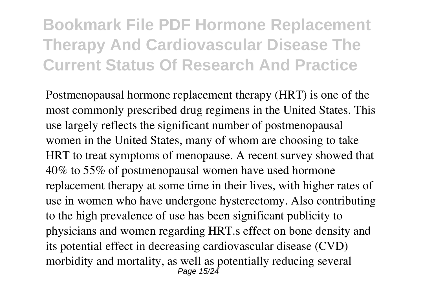### **Bookmark File PDF Hormone Replacement Therapy And Cardiovascular Disease The Current Status Of Research And Practice**

Postmenopausal hormone replacement therapy (HRT) is one of the most commonly prescribed drug regimens in the United States. This use largely reflects the significant number of postmenopausal women in the United States, many of whom are choosing to take HRT to treat symptoms of menopause. A recent survey showed that 40% to 55% of postmenopausal women have used hormone replacement therapy at some time in their lives, with higher rates of use in women who have undergone hysterectomy. Also contributing to the high prevalence of use has been significant publicity to physicians and women regarding HRT.s effect on bone density and its potential effect in decreasing cardiovascular disease (CVD) morbidity and mortality, as well as potentially reducing several Page 15/24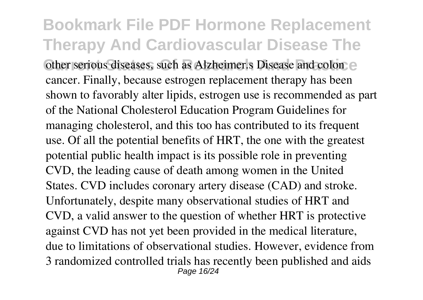**Bookmark File PDF Hormone Replacement Therapy And Cardiovascular Disease The Current Status Of Status Of Status Of Analytical Status Colonics** other serious diseases, such as Alzheimer.s Disease and colonic cancer. Finally, because estrogen replacement therapy has been shown to favorably alter lipids, estrogen use is recommended as part of the National Cholesterol Education Program Guidelines for managing cholesterol, and this too has contributed to its frequent use. Of all the potential benefits of HRT, the one with the greatest potential public health impact is its possible role in preventing CVD, the leading cause of death among women in the United States. CVD includes coronary artery disease (CAD) and stroke. Unfortunately, despite many observational studies of HRT and CVD, a valid answer to the question of whether HRT is protective against CVD has not yet been provided in the medical literature, due to limitations of observational studies. However, evidence from 3 randomized controlled trials has recently been published and aids Page 16/24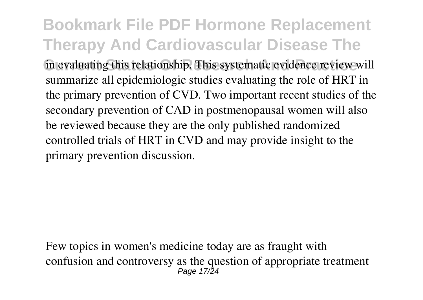**Bookmark File PDF Hormone Replacement Therapy And Cardiovascular Disease The** In evaluating this relationship. This systematic evidence review will summarize all epidemiologic studies evaluating the role of HRT in the primary prevention of CVD. Two important recent studies of the secondary prevention of CAD in postmenopausal women will also be reviewed because they are the only published randomized controlled trials of HRT in CVD and may provide insight to the primary prevention discussion.

Few topics in women's medicine today are as fraught with confusion and controversy as the question of appropriate treatment Page 17/24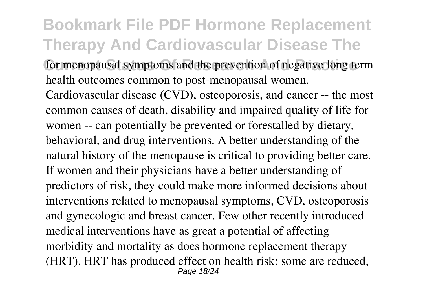### **Bookmark File PDF Hormone Replacement Therapy And Cardiovascular Disease The** for menopausal symptoms and the prevention of negative long term health outcomes common to post-menopausal women.

Cardiovascular disease (CVD), osteoporosis, and cancer -- the most common causes of death, disability and impaired quality of life for women -- can potentially be prevented or forestalled by dietary, behavioral, and drug interventions. A better understanding of the natural history of the menopause is critical to providing better care. If women and their physicians have a better understanding of predictors of risk, they could make more informed decisions about interventions related to menopausal symptoms, CVD, osteoporosis and gynecologic and breast cancer. Few other recently introduced medical interventions have as great a potential of affecting morbidity and mortality as does hormone replacement therapy (HRT). HRT has produced effect on health risk: some are reduced, Page 18/24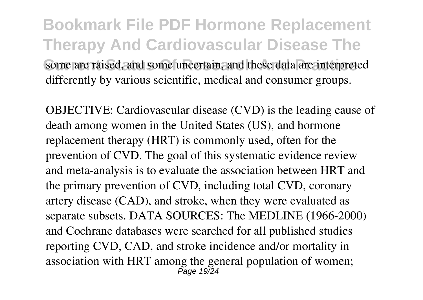**Bookmark File PDF Hormone Replacement Therapy And Cardiovascular Disease The** Some are raised, and some uncertain, and these data are interpreted differently by various scientific, medical and consumer groups.

OBJECTIVE: Cardiovascular disease (CVD) is the leading cause of death among women in the United States (US), and hormone replacement therapy (HRT) is commonly used, often for the prevention of CVD. The goal of this systematic evidence review and meta-analysis is to evaluate the association between HRT and the primary prevention of CVD, including total CVD, coronary artery disease (CAD), and stroke, when they were evaluated as separate subsets. DATA SOURCES: The MEDLINE (1966-2000) and Cochrane databases were searched for all published studies reporting CVD, CAD, and stroke incidence and/or mortality in association with HRT among the general population of women; Page 19/24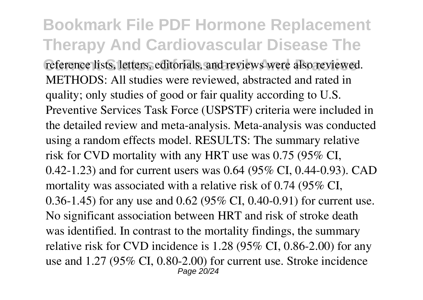**Bookmark File PDF Hormone Replacement Therapy And Cardiovascular Disease The** reference lists, letters, editorials, and reviews were also reviewed. METHODS: All studies were reviewed, abstracted and rated in quality; only studies of good or fair quality according to U.S. Preventive Services Task Force (USPSTF) criteria were included in the detailed review and meta-analysis. Meta-analysis was conducted using a random effects model. RESULTS: The summary relative risk for CVD mortality with any HRT use was 0.75 (95% CI, 0.42-1.23) and for current users was 0.64 (95% CI, 0.44-0.93). CAD mortality was associated with a relative risk of 0.74 (95% CI, 0.36-1.45) for any use and 0.62 (95% CI, 0.40-0.91) for current use. No significant association between HRT and risk of stroke death was identified. In contrast to the mortality findings, the summary relative risk for CVD incidence is 1.28 (95% CI, 0.86-2.00) for any use and 1.27 (95% CI, 0.80-2.00) for current use. Stroke incidence Page 20/24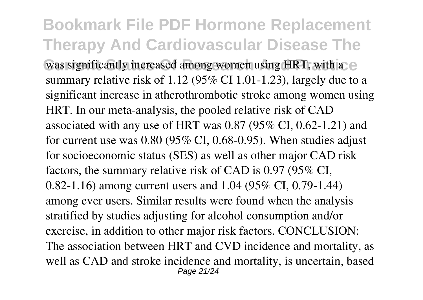**Bookmark File PDF Hormone Replacement Therapy And Cardiovascular Disease The Was significantly increased among women using HRT, with a e** summary relative risk of 1.12 (95% CI 1.01-1.23), largely due to a significant increase in atherothrombotic stroke among women using HRT. In our meta-analysis, the pooled relative risk of CAD associated with any use of HRT was 0.87 (95% CI, 0.62-1.21) and for current use was 0.80 (95% CI, 0.68-0.95). When studies adjust for socioeconomic status (SES) as well as other major CAD risk factors, the summary relative risk of CAD is 0.97 (95% CI, 0.82-1.16) among current users and 1.04 (95% CI, 0.79-1.44) among ever users. Similar results were found when the analysis stratified by studies adjusting for alcohol consumption and/or exercise, in addition to other major risk factors. CONCLUSION: The association between HRT and CVD incidence and mortality, as well as CAD and stroke incidence and mortality, is uncertain, based Page 21/24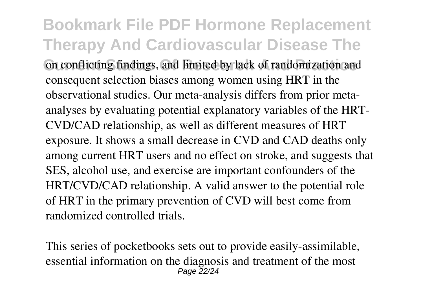**Bookmark File PDF Hormone Replacement Therapy And Cardiovascular Disease The Current Status Of Research And Practice** on conflicting findings, and limited by lack of randomization and consequent selection biases among women using HRT in the observational studies. Our meta-analysis differs from prior metaanalyses by evaluating potential explanatory variables of the HRT-CVD/CAD relationship, as well as different measures of HRT exposure. It shows a small decrease in CVD and CAD deaths only among current HRT users and no effect on stroke, and suggests that SES, alcohol use, and exercise are important confounders of the HRT/CVD/CAD relationship. A valid answer to the potential role of HRT in the primary prevention of CVD will best come from randomized controlled trials.

This series of pocketbooks sets out to provide easily-assimilable, essential information on the diagnosis and treatment of the most Page 22/24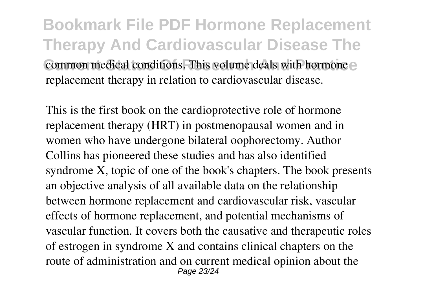**Bookmark File PDF Hormone Replacement Therapy And Cardiovascular Disease The Common medical conditions. This volume deals with hormone** replacement therapy in relation to cardiovascular disease.

This is the first book on the cardioprotective role of hormone replacement therapy (HRT) in postmenopausal women and in women who have undergone bilateral oophorectomy. Author Collins has pioneered these studies and has also identified syndrome X, topic of one of the book's chapters. The book presents an objective analysis of all available data on the relationship between hormone replacement and cardiovascular risk, vascular effects of hormone replacement, and potential mechanisms of vascular function. It covers both the causative and therapeutic roles of estrogen in syndrome X and contains clinical chapters on the route of administration and on current medical opinion about the Page 23/24